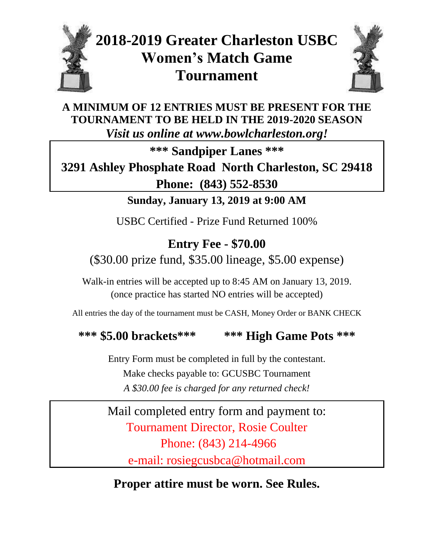

# **2018-2019 Greater Charleston USBC Women's Match Game Tournament**



**A MINIMUM OF 12 ENTRIES MUST BE PRESENT FOR THE TOURNAMENT TO BE HELD IN THE 2019-2020 SEASON** *Visit us online at www.bowlcharleston.org!*

**\*\*\* Sandpiper Lanes \*\*\***

## **3291 Ashley Phosphate Road North Charleston, SC 29418 Phone: (843) 552-8530**

**Sunday, January 13, 2019 at 9:00 AM**

USBC Certified - Prize Fund Returned 100%

### **Entry Fee - \$70.00**

(\$30.00 prize fund, \$35.00 lineage, \$5.00 expense)

Walk-in entries will be accepted up to 8:45 AM on January 13, 2019. (once practice has started NO entries will be accepted)

All entries the day of the tournament must be CASH, Money Order or BANK CHECK

#### **\*\*\* \$5.00 brackets\*\*\* \*\*\* High Game Pots \*\*\***

Entry Form must be completed in full by the contestant. Make checks payable to: GCUSBC Tournament *A \$30.00 fee is charged for any returned check!*

Mail completed entry form and payment to: Tournament Director, Rosie Coulter Phone: (843) 214-4966 e-mail: rosiegcusbca@hotmail.com

**Proper attire must be worn. See Rules.**